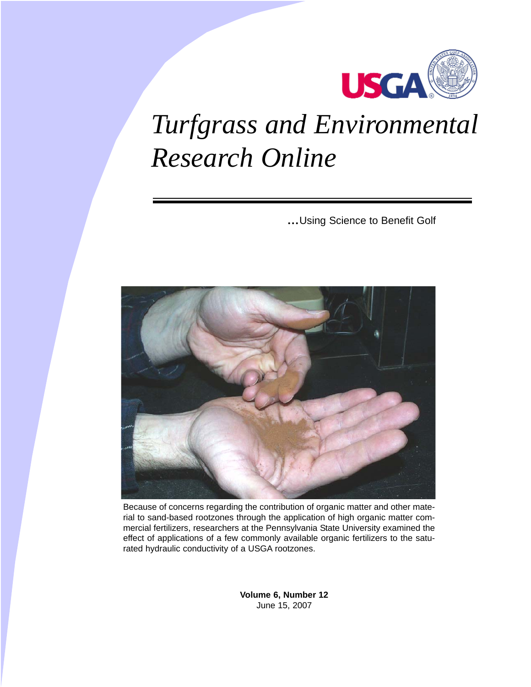

# *[Turfgrass and Environmental](http://usgatero.msu.edu) Research Online*

*...*Using Science to Benefit Golf



Because of concerns regarding the contribution of organic matter and other material to sand-based rootzones through the application of high organic matter commercial fertilizers, researchers at the Pennsylvania State University examined the effect of applications of a few commonly available organic fertilizers to the saturated hydraulic conductivity of a USGA rootzones.

> **Volume 6, Number 12** June 15, 2007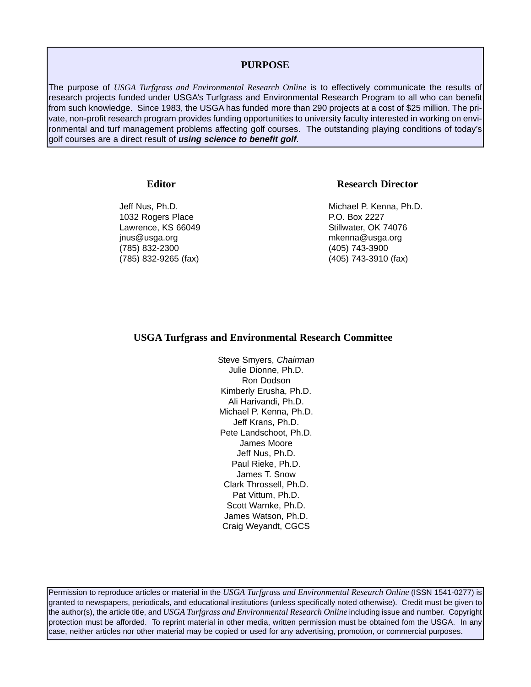## **PURPOSE**

The purpose of *USGA Turfgrass and Environmental Research Online* is to effectively communicate the results of research projects funded under USGA's Turfgrass and Environmental Research Program to all who can benefit from such knowledge. Since 1983, the USGA has funded more than 290 projects at a cost of \$25 million. The private, non-profit research program provides funding opportunities to university faculty interested in working on environmental and turf management problems affecting golf courses. The outstanding playing conditions of today's golf courses are a direct result of *using science to benefit golf*.

### **Editor**

Jeff Nus, Ph.D. 1032 Rogers Place Lawrence, KS 66049 jnus@usga.org (785) 832-2300 (785) 832-9265 (fax)

### **Research Director**

Michael P. Kenna, Ph.D. P.O. Box 2227 Stillwater, OK 74076 mkenna@usga.org (405) 743-3900 (405) 743-3910 (fax)

### **USGA Turfgrass and Environmental Research Committee**

Steve Smyers, *Chairman* Julie Dionne, Ph.D. Ron Dodson Kimberly Erusha, Ph.D. Ali Harivandi, Ph.D. Michael P. Kenna, Ph.D. Jeff Krans, Ph.D. Pete Landschoot, Ph.D. James Moore Jeff Nus, Ph.D. Paul Rieke, Ph.D. James T. Snow Clark Throssell, Ph.D. Pat Vittum, Ph.D. Scott Warnke, Ph.D. James Watson, Ph.D. Craig Weyandt, CGCS

Permission to reproduce articles or material in the *USGA Turfgrass and Environmental Research Online* (ISSN 1541-0277) is granted to newspapers, periodicals, and educational institutions (unless specifically noted otherwise). Credit must be given to the author(s), the article title, and *USGA Turfgrass and Environmental Research Online* including issue and number. Copyright protection must be afforded. To reprint material in other media, written permission must be obtained fom the USGA. In any case, neither articles nor other material may be copied or used for any advertising, promotion, or commercial purposes.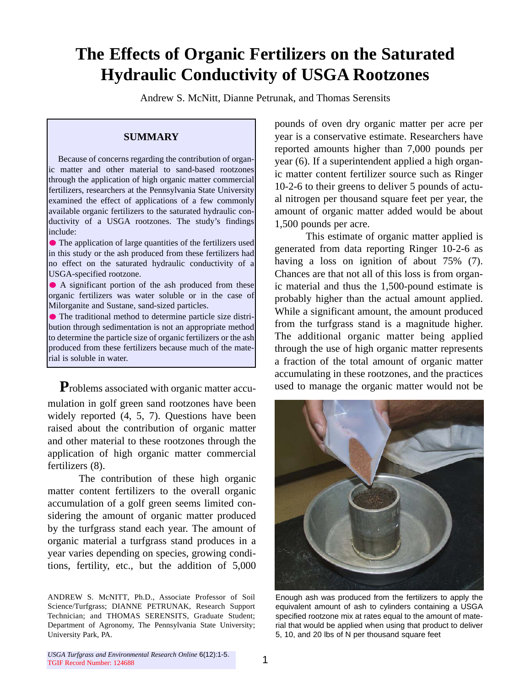# **The Effects of Organic Fertilizers on the Saturated Hydraulic Conductivity of USGA Rootzones**

Andrew S. McNitt, Dianne Petrunak, and Thomas Serensits

# **SUMMARY**

Because of concerns regarding the contribution of organic matter and other material to sand-based rootzones through the application of high organic matter commercial fertilizers, researchers at the Pennsylvania State University examined the effect of applications of a few commonly available organic fertilizers to the saturated hydraulic conductivity of a USGA rootzones. The study's findings include:

The application of large quantities of the fertilizers used in this study or the ash produced from these fertilizers had no effect on the saturated hydraulic conductivity of a USGA-specified rootzone.

A significant portion of the ash produced from these organic fertilizers was water soluble or in the case of Milorganite and Sustane, sand-sized particles.

The traditional method to determine particle size distribution through sedimentation is not an appropriate method to determine the particle size of organic fertilizers or the ash produced from these fertilizers because much of the material is soluble in water.

**P**roblems associated with organic matter accumulation in golf green sand rootzones have been widely reported (4, 5, 7). Questions have been raised about the contribution of organic matter and other material to these rootzones through the application of high organic matter commercial fertilizers (8).

The contribution of these high organic matter content fertilizers to the overall organic accumulation of a golf green seems limited considering the amount of organic matter produced by the turfgrass stand each year. The amount of organic material a turfgrass stand produces in a year varies depending on species, growing conditions, fertility, etc., but the addition of 5,000 pounds of oven dry organic matter per acre per year is a conservative estimate. Researchers have reported amounts higher than 7,000 pounds per year (6). If a superintendent applied a high organic matter content fertilizer source such as Ringer 10-2-6 to their greens to deliver 5 pounds of actual nitrogen per thousand square feet per year, the amount of organic matter added would be about 1,500 pounds per acre.

This estimate of organic matter applied is generated from data reporting Ringer 10-2-6 as having a loss on ignition of about 75% (7). Chances are that not all of this loss is from organic material and thus the 1,500-pound estimate is probably higher than the actual amount applied. While a significant amount, the amount produced from the turfgrass stand is a magnitude higher. The additional organic matter being applied through the use of high organic matter represents a fraction of the total amount of organic matter accumulating in these rootzones, and the practices used to manage the organic matter would not be



Enough ash was produced from the fertilizers to apply the equivalent amount of ash to cylinders containing a USGA specified rootzone mix at rates equal to the amount of material that would be applied when using that product to deliver 5, 10, and 20 lbs of N per thousand square feet

ANDREW S. McNITT, Ph.D., Associate Professor of Soil Science/Turfgrass; DIANNE PETRUNAK, Research Support Technician; and THOMAS SERENSITS, Graduate Student; Department of Agronomy, The Pennsylvania State University; University Park, PA.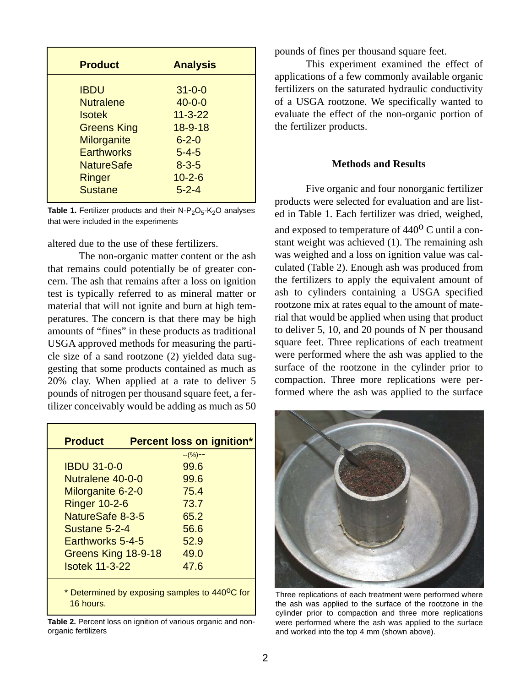| <b>Product</b>     | <b>Analysis</b> |
|--------------------|-----------------|
| <b>IBDU</b>        | $31 - 0 - 0$    |
| <b>Nutralene</b>   | $40 - 0 - 0$    |
| <b>Isotek</b>      | $11 - 3 - 22$   |
| <b>Greens King</b> | $18 - 9 - 18$   |
| <b>Milorganite</b> | $6 - 2 - 0$     |
| <b>Earthworks</b>  | $5 - 4 - 5$     |
| <b>NatureSafe</b>  | $8 - 3 - 5$     |
| Ringer             | $10 - 2 - 6$    |
| <b>Sustane</b>     | $5 - 2 - 4$     |

**Table 1.** Fertilizer products and their N-P<sub>2</sub>O<sub>5</sub>-K<sub>2</sub>O analyses that were included in the experiments

altered due to the use of these fertilizers.

The non-organic matter content or the ash that remains could potentially be of greater concern. The ash that remains after a loss on ignition test is typically referred to as mineral matter or material that will not ignite and burn at high temperatures. The concern is that there may be high amounts of "fines" in these products as traditional USGA approved methods for measuring the particle size of a sand rootzone (2) yielded data suggesting that some products contained as much as 20% clay. When applied at a rate to deliver 5 pounds of nitrogen per thousand square feet, a fertilizer conceivably would be adding as much as 50

| <b>Product</b>                                                          |  | <b>Percent loss on ignition*</b> |  |
|-------------------------------------------------------------------------|--|----------------------------------|--|
|                                                                         |  | $-(\%)$ --                       |  |
| <b>IBDU 31-0-0</b>                                                      |  | 99.6                             |  |
| Nutralene 40-0-0                                                        |  | 99.6                             |  |
| Milorganite 6-2-0                                                       |  | 75.4                             |  |
| <b>Ringer 10-2-6</b>                                                    |  | 73.7                             |  |
| NatureSafe 8-3-5                                                        |  | 65.2                             |  |
| Sustane 5-2-4                                                           |  | 56.6                             |  |
| Earthworks 5-4-5                                                        |  | 52.9                             |  |
| Greens King 18-9-18                                                     |  | 49.0                             |  |
| <b>Isotek 11-3-22</b>                                                   |  | 47.6                             |  |
| * Determined by exposing samples to 440 <sup>o</sup> C for<br>16 hours. |  |                                  |  |

**Table 2.** Percent loss on ignition of various organic and nonorganic fertilizers

pounds of fines per thousand square feet.

This experiment examined the effect of applications of a few commonly available organic fertilizers on the saturated hydraulic conductivity of a USGA rootzone. We specifically wanted to evaluate the effect of the non-organic portion of the fertilizer products.

# **Methods and Results**

Five organic and four nonorganic fertilizer products were selected for evaluation and are listed in Table 1. Each fertilizer was dried, weighed,

and exposed to temperature of  $440^{\circ}$  C until a constant weight was achieved (1). The remaining ash was weighed and a loss on ignition value was calculated (Table 2). Enough ash was produced from the fertilizers to apply the equivalent amount of ash to cylinders containing a USGA specified rootzone mix at rates equal to the amount of material that would be applied when using that product to deliver 5, 10, and 20 pounds of N per thousand square feet. Three replications of each treatment were performed where the ash was applied to the surface of the rootzone in the cylinder prior to compaction. Three more replications were performed where the ash was applied to the surface



Three replications of each treatment were performed where the ash was applied to the surface of the rootzone in the cylinder prior to compaction and three more replications were performed where the ash was applied to the surface and worked into the top 4 mm (shown above).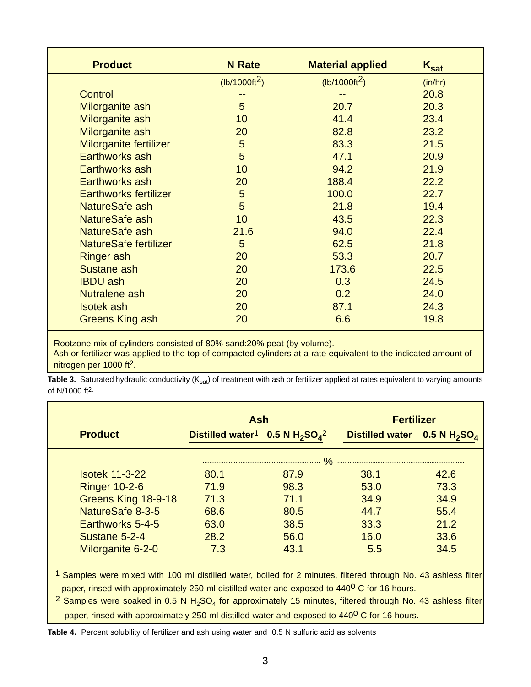| <b>Product</b>               | <b>N</b> Rate   | <b>Material applied</b> | $K_{\text{sat}}$ |
|------------------------------|-----------------|-------------------------|------------------|
|                              | $(lb/1000ft^2)$ | $(lb/1000ft^2)$         | (in/hr)          |
| <b>Control</b>               |                 |                         | 20.8             |
| Milorganite ash              | $5\phantom{1}$  | 20.7                    | 20.3             |
| Milorganite ash              | 10              | 41.4                    | 23.4             |
| Milorganite ash              | 20              | 82.8                    | 23.2             |
| Milorganite fertilizer       | 5               | 83.3                    | 21.5             |
| Earthworks ash               | 5               | 47.1                    | 20.9             |
| Earthworks ash               | 10              | 94.2                    | 21.9             |
| Earthworks ash               | 20              | 188.4                   | 22.2             |
| <b>Earthworks fertilizer</b> | 5               | 100.0                   | 22.7             |
| NatureSafe ash               | 5               | 21.8                    | 19.4             |
| NatureSafe ash               | 10              | 43.5                    | 22.3             |
| NatureSafe ash               | 21.6            | 94.0                    | 22.4             |
| <b>NatureSafe fertilizer</b> | 5               | 62.5                    | 21.8             |
| <b>Ringer ash</b>            | 20              | 53.3                    | 20.7             |
| Sustane ash                  | 20              | 173.6                   | 22.5             |
| <b>IBDU</b> ash              | 20              | 0.3                     | 24.5             |
| Nutralene ash                | 20              | 0.2                     | 24.0             |
| <b>Isotek</b> ash            | 20              | 87.1                    | 24.3             |
| <b>Greens King ash</b>       | 20              | 6.6                     | 19.8             |

Rootzone mix of cylinders consisted of 80% sand:20% peat (by volume). Ash or fertilizer was applied to the top of compacted cylinders at a rate equivalent to the indicated amount of nitrogen per 1000 ft2.

Table 3. Saturated hydraulic conductivity (K<sub>sat</sub>) of treatment with ash or fertilizer applied at rates equivalent to varying amounts of N/1000 ft2.

|                       | <b>Ash</b>                                                                     |      | <b>Fertilizer</b>               |      |
|-----------------------|--------------------------------------------------------------------------------|------|---------------------------------|------|
| <b>Product</b>        | Distilled water <sup>1</sup> 0.5 N H <sub>2</sub> SO <sub>4</sub> <sup>2</sup> |      | Distilled water 0.5 N $H_2SO_4$ |      |
|                       |                                                                                |      |                                 |      |
| <b>Isotek 11-3-22</b> | 80.1                                                                           | 87.9 | 38.1                            | 42.6 |
| <b>Ringer 10-2-6</b>  | 71.9                                                                           | 98.3 | 53.0                            | 73.3 |
| Greens King 18-9-18   | 71.3                                                                           | 71.1 | 34.9                            | 34.9 |
| NatureSafe 8-3-5      | 68.6                                                                           | 80.5 | 44.7                            | 55.4 |
| Earthworks 5-4-5      | 63.0                                                                           | 38.5 | 33.3                            | 21.2 |
| Sustane 5-2-4         | 28.2                                                                           | 56.0 | 16.0                            | 33.6 |
| Milorganite 6-2-0     | 7.3                                                                            | 43.1 | 5.5                             | 34.5 |

1 Samples were mixed with 100 ml distilled water, boiled for 2 minutes, filtered through No. 43 ashless filter paper, rinsed with approximately 250 ml distilled water and exposed to 440<sup>o</sup> C for 16 hours.

<sup>2</sup> Samples were soaked in 0.5 N H<sub>2</sub>SO<sub>4</sub> for approximately 15 minutes, filtered through No. 43 ashless filter paper, rinsed with approximately 250 ml distilled water and exposed to 440<sup>o</sup> C for 16 hours.

**Table 4.** Percent solubility of fertilizer and ash using water and 0.5 N sulfuric acid as solvents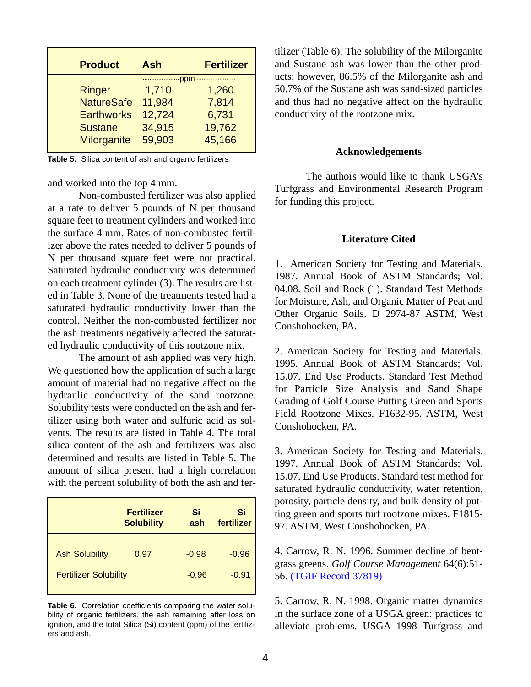| <b>Product</b>                                                                           | <b>Ash</b>                                                       | <b>Fertilizer</b>                           |
|------------------------------------------------------------------------------------------|------------------------------------------------------------------|---------------------------------------------|
| <b>Ringer</b><br><b>NatureSafe</b><br><b>Earthworks</b><br><b>Sustane</b><br>Milorganite | ***************<br>1,710<br>11,984<br>12,724<br>34,915<br>59,903 | 1,260<br>7,814<br>6,731<br>19,762<br>45,166 |

**Table 5.** Silica content of ash and organic fertilizers

and worked into the top 4 mm.

Non-combusted fertilizer was also applied at a rate to deliver 5 pounds of N per thousand square feet to treatment cylinders and worked into the surface 4 mm. Rates of non-combusted fertilizer above the rates needed to deliver 5 pounds of N per thousand square feet were not practical. Saturated hydraulic conductivity was determined on each treatment cylinder (3). The results are listed in Table 3. None of the treatments tested had a saturated hydraulic conductivity lower than the control. Neither the non-combusted fertilizer nor the ash treatments negatively affected the saturated hydraulic conductivity of this rootzone mix.

The amount of ash applied was very high. We questioned how the application of such a large amount of material had no negative affect on the hydraulic conductivity of the sand rootzone. Solubility tests were conducted on the ash and fertilizer using both water and sulfuric acid as solvents. The results are listed in Table 4. The total silica content of the ash and fertilizers was also determined and results are listed in Table 5. The amount of silica present had a high correlation with the percent solubility of both the ash and fer-

|                              | <b>Fertilizer</b><br><b>Solubility</b> | Si<br>ash | Si<br>fertilizer |
|------------------------------|----------------------------------------|-----------|------------------|
| <b>Ash Solubility</b>        | 0.97                                   | $-0.98$   | $-0.96$          |
| <b>Fertilizer Solubility</b> |                                        | $-0.96$   | $-0.91$          |

**Table 6.** Correlation coefficients comparing the water solubility of organic fertilizers, the ash remaining after loss on ignition, and the total Silica (Si) content (ppm) of the fertilizers and ash.

tilizer (Table 6). The solubility of the Milorganite and Sustane ash was lower than the other products; however, 86.5% of the Milorganite ash and 50.7% of the Sustane ash was sand-sized particles and thus had no negative affect on the hydraulic conductivity of the rootzone mix.

### **Acknowledgements**

The authors would like to thank USGA's Turfgrass and Environmental Research Program for funding this project.

# **Literature Cited**

1. American Society for Testing and Materials. 1987. Annual Book of ASTM Standards; Vol. 04.08. Soil and Rock (1). Standard Test Methods for Moisture, Ash, and Organic Matter of Peat and Other Organic Soils. D 2974-87 ASTM, West Conshohocken, PA.

2. American Society for Testing and Materials. 1995. Annual Book of ASTM Standards; Vol. 15.07. End Use Products. Standard Test Method for Particle Size Analysis and Sand Shape Grading of Golf Course Putting Green and Sports Field Rootzone Mixes. F1632-95. ASTM, West Conshohocken, PA.

3. American Society for Testing and Materials. 1997. Annual Book of ASTM Standards; Vol. 15.07. End Use Products. Standard test method for saturated hydraulic conductivity, water retention, porosity, particle density, and bulk density of putting green and sports turf rootzone mixes. F1815- 97. ASTM, West Conshohocken, PA.

4. Carrow, R. N. 1996. Summer decline of bentgrass greens. *Golf Course Management* 64(6):51- 56. [\(TGIF Record 37819\)](http://www.lib.msu.edu/cgi-bin/flink.pl?recno=37819)

5. Carrow, R. N. 1998. Organic matter dynamics in the surface zone of a USGA green: practices to alleviate problems. USGA 1998 Turfgrass and